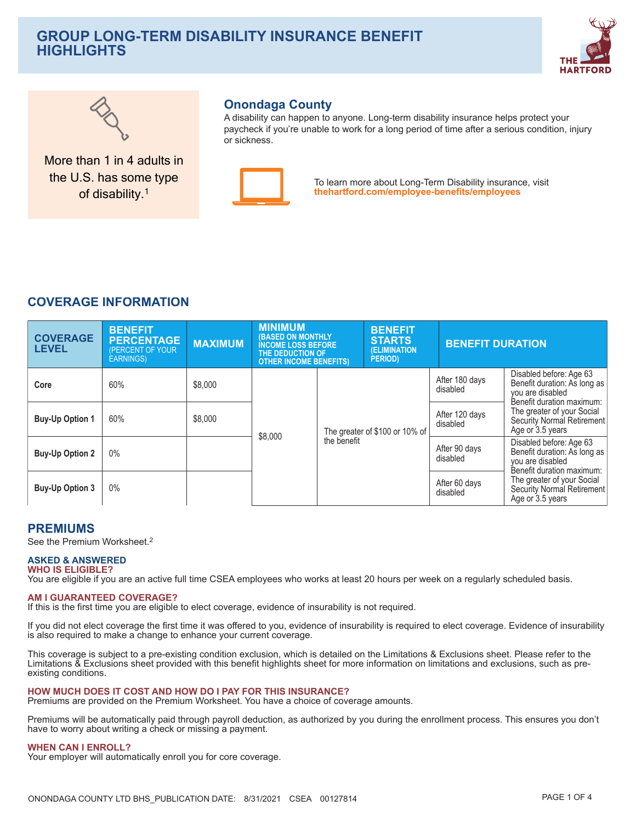# **GROUP LONG-TERM DISABILITY INSURANCE BENEFIT HIGHLIGHTS**





More than 1 in 4 adults in the U.S. has some type of disability.<sup>1</sup>

## **Onondaga County**

A disability can happen to anyone. Long-term disability insurance helps protect your paycheck if you're unable to work for a long period of time after a serious condition, injury or sickness



To learn more about Long-Term Disability insurance, visit thehartford.com/employee-benefits/employees

# **COVERAGE INFORMATION**

| <b>COVERAGE</b><br><b>LEVEL</b> | <b>BENEFIT</b><br><b>PERCENTAGE</b><br>(PERCENT OF YOUR<br><b>EARNINGS)</b> | <b>MAXIMUM</b> | <b>MINIMUM</b><br><b>(BASED ON MONTHLY</b><br><b>INCOME LOSS BEFORE</b><br>THE DEDUCTION OF<br><b>OTHER INCOME BENEFITS)</b> |             | <b>BENEFIT</b><br><b>STARTS</b><br><b>(ELIMINATION)</b><br><b>PERIOD</b> ) | <b>BENEFIT DURATION</b>    |                                                                                                          |
|---------------------------------|-----------------------------------------------------------------------------|----------------|------------------------------------------------------------------------------------------------------------------------------|-------------|----------------------------------------------------------------------------|----------------------------|----------------------------------------------------------------------------------------------------------|
| Core                            | 60%                                                                         | \$8,000        |                                                                                                                              |             |                                                                            | After 180 days<br>disabled | Disabled before: Age 63<br>Benefit duration: As long as<br>you are disabled<br>Benefit duration maximum: |
| <b>Buy-Up Option 1</b>          | 60%                                                                         | \$8,000        | \$8,000                                                                                                                      |             | The greater of \$100 or 10% of                                             | After 120 days<br>disabled | The greater of your Social<br><b>Security Normal Retirement</b><br>Age or 3.5 years                      |
| <b>Buy-Up Option 2</b>          | 0%                                                                          |                |                                                                                                                              | the benefit |                                                                            | After 90 days<br>disabled  | Disabled before: Age 63<br>Benefit duration: As long as<br>you are disabled<br>Benefit duration maximum: |
| <b>Buy-Up Option 3</b>          | 0%                                                                          |                |                                                                                                                              |             |                                                                            | After 60 days<br>disabled  | The greater of your Social<br>Security Normal Retirement<br>Age or 3.5 years                             |

## **PREMIUMS**

See the Premium Worksheet.<sup>2</sup>

#### **ASKED & ANSWERED WHO IS ELIGIBLE?**

You are eligible if you are an active full time CSEA employees who works at least 20 hours per week on a regularly scheduled basis.

#### **AM I GUARANTEED COVERAGE?**

If this is the first time you are eligible to elect coverage, evidence of insurability is not required.

If you did not elect coverage the first time it was offered to you, evidence of insurability is required to elect coverage. Evidence of insurability is also required to make a change to enhance your current coverage.

This coverage is subject to a pre-existing condition exclusion, which is detailed on the Limitations & Exclusions sheet. Please refer to the Limitations & Exclusions sheet provided with this benefit highlights sheet for more information on limitations and exclusions, such as preexisting conditions.

#### HOW MUCH DOES IT COST AND HOW DO I PAY FOR THIS INSURANCE?

Premiums are provided on the Premium Worksheet. You have a choice of coverage amounts.

Premiums will be automatically paid through payroll deduction, as authorized by you during the enrollment process. This ensures you don't have to worry about writing a check or missing a payment.

#### **WHEN CAN I ENROLL?**

Your employer will automatically enroll you for core coverage.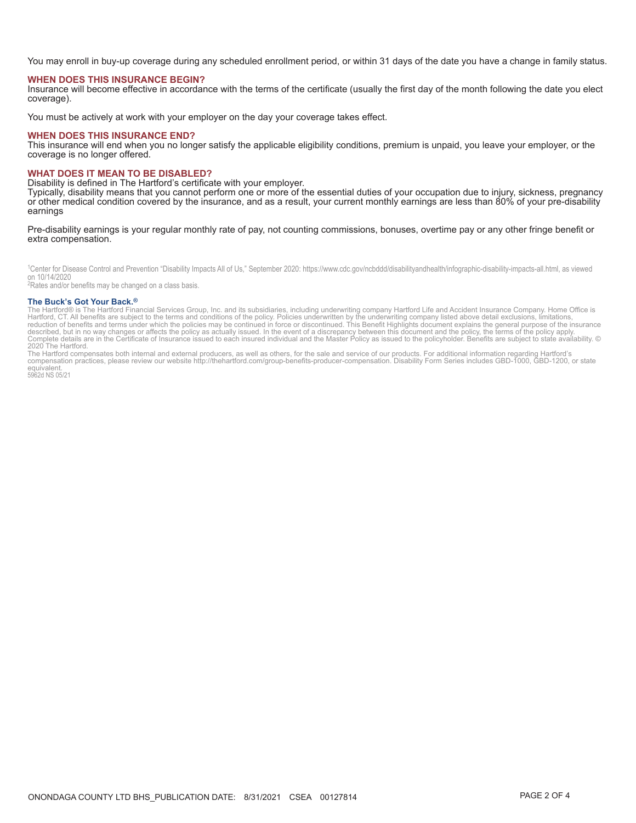You may enroll in buy-up coverage during any scheduled enrollment period, or within 31 days of the date you have a change in family status.

#### **WHEN DOES THIS INSURANCE BEGIN?**

Insurance will become effective in accordance with the terms of the certificate (usually the first day of the month following the date you elect coverage).

You must be actively at work with your employer on the day your coverage takes effect.

#### **WHEN DOES THIS INSURANCE END?**

This insurance will end when you no longer satisfy the applicable eligibility conditions, premium is unpaid, you leave your employer, or the coverage is no longer offered.

#### **WHAT DOES IT MEAN TO BE DISABLED?**

Disability is defined in The Hartford's certificate with your employer.

Typically, disability means that you cannot perform one or more of the essential duties of your occupation due to injury, sickness, pregnancy or other medical condition covered by the insurance, and as a result, your current monthly earnings are less than 80% of your pre-disability earnings

Pre-disability earnings is your regular monthly rate of pay, not counting commissions, bonuses, overtime pay or any other fringe benefit or extra compensation.

<sup>1</sup>Center for Disease Control and Prevention "Disability Impacts All of Us," September 2020: https://www.cdc.gov/ncbddd/disabilityandhealth/infographic-disability-impacts-all.html, as viewed on 10/14/2020

<sup>2</sup>Rates and/or benefits may be changed on a class basis.

#### The Buck's Got Your Back.<sup>®</sup>

The Buck SUC TOUT BACK."<br>The Hartford SUC TOUT BACK."<br>Hartford, CT. All benefits are subject to the terms and conditions of the policy. Policies underwritten by the underwriting company listed above detail exclusions, limi 2020 The Hartford.

the Hartford compensates both internal and external producers, as well as others, for the sale and service of our products. For additional information regarding Hartford's<br>compensation practices, please review our website equivalent.

5962d NS 05/21